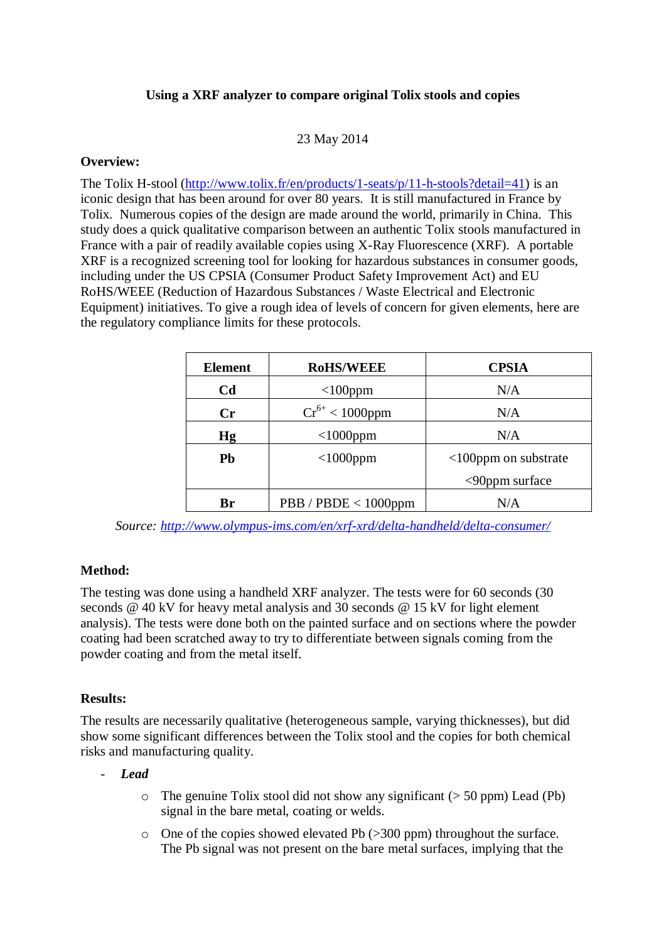# **Using a XRF analyzer to compare original Tolix stools and copies**

### 23 May 2014

#### **Overview:**

The Tolix H-stool [\(http://www.tolix.fr/en/products/1-seats/p/11-h-stools?detail=41\)](http://www.tolix.fr/en/products/1-seats/p/11-h-stools?detail=41) is an iconic design that has been around for over 80 years. It is still manufactured in France by Tolix. Numerous copies of the design are made around the world, primarily in China. This study does a quick qualitative comparison between an authentic Tolix stools manufactured in France with a pair of readily available copies using X-Ray Fluorescence (XRF). A portable XRF is a recognized screening tool for looking for hazardous substances in consumer goods, including under the US CPSIA (Consumer Product Safety Improvement Act) and EU RoHS/WEEE (Reduction of Hazardous Substances / Waste Electrical and Electronic Equipment) initiatives. To give a rough idea of levels of concern for given elements, here are the regulatory compliance limits for these protocols.

| <b>Element</b> | <b>RoHS/WEEE</b>        | <b>CPSIA</b>                |
|----------------|-------------------------|-----------------------------|
| C <sub>d</sub> | $<$ 100 $ppm$           | N/A                         |
| $\mathbf{C}$ r | $Cr^{6+}$ < 1000ppm     | N/A                         |
| Hg             | $<$ 1000ppm             | N/A                         |
| Pb             | $<$ 1000ppm             | $\leq 100$ ppm on substrate |
|                |                         | $<$ 90ppm surface           |
| Br             | $PBB / PBDE < 1000$ ppm | N/A                         |

*Source:<http://www.olympus-ims.com/en/xrf-xrd/delta-handheld/delta-consumer/>*

# **Method:**

The testing was done using a handheld XRF analyzer. The tests were for 60 seconds (30 seconds @ 40 kV for heavy metal analysis and 30 seconds @ 15 kV for light element analysis). The tests were done both on the painted surface and on sections where the powder coating had been scratched away to try to differentiate between signals coming from the powder coating and from the metal itself.

### **Results:**

The results are necessarily qualitative (heterogeneous sample, varying thicknesses), but did show some significant differences between the Tolix stool and the copies for both chemical risks and manufacturing quality.

### - *Lead*

- $\circ$  The genuine Tolix stool did not show any significant ( $>$  50 ppm) Lead (Pb) signal in the bare metal, coating or welds.
- o One of the copies showed elevated Pb (>300 ppm) throughout the surface. The Pb signal was not present on the bare metal surfaces, implying that the